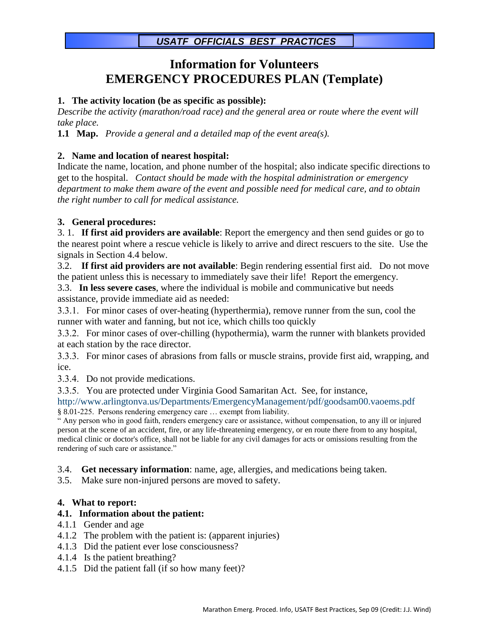# **Information for Volunteers EMERGENCY PROCEDURES PLAN (Template)**

### **1. The activity location (be as specific as possible):**

*Describe the activity (marathon/road race) and the general area or route where the event will take place.*

**1.1 Map.** *Provide a general and a detailed map of the event area(s).*

### **2. Name and location of nearest hospital:**

Indicate the name, location, and phone number of the hospital; also indicate specific directions to get to the hospital. *Contact should be made with the hospital administration or emergency department to make them aware of the event and possible need for medical care, and to obtain the right number to call for medical assistance.*

## **3. General procedures:**

3. 1. **If first aid providers are available**: Report the emergency and then send guides or go to the nearest point where a rescue vehicle is likely to arrive and direct rescuers to the site. Use the signals in Section 4.4 below.

3.2. **If first aid providers are not available**: Begin rendering essential first aid. Do not move the patient unless this is necessary to immediately save their life! Report the emergency.

3.3. **In less severe cases**, where the individual is mobile and communicative but needs assistance, provide immediate aid as needed:

 For minor cases of over-heating (hyperthermia), remove runner from the sun, cool the runner with water and fanning, but not ice, which chills too quickly

 For minor cases of over-chilling (hypothermia), warm the runner with blankets provided at each station by the race director.

 For minor cases of abrasions from falls or muscle strains, provide first aid, wrapping, and ice.

3.3.4. Do not provide medications.

3.3.5. You are protected under Virginia Good Samaritan Act. See, for instance,

http://www.arlingtonva.us/Departments/EmergencyManagement/pdf/goodsam00.vaoems.pdf § 8.01-225. Persons rendering emergency care … exempt from liability.

" Any person who in good faith, renders emergency care or assistance, without compensation, to any ill or injured person at the scene of an accident, fire, or any life-threatening emergency, or en route there from to any hospital, medical clinic or doctor's office, shall not be liable for any civil damages for acts or omissions resulting from the rendering of such care or assistance."

3.4. **Get necessary information**: name, age, allergies, and medications being taken.

3.5. Make sure non-injured persons are moved to safety.

#### **4. What to report:**

#### **4.1. Information about the patient:**

- 4.1.1 Gender and age
- 4.1.2 The problem with the patient is: (apparent injuries)
- 4.1.3 Did the patient ever lose consciousness?
- 4.1.4 Is the patient breathing?
- 4.1.5 Did the patient fall (if so how many feet)?